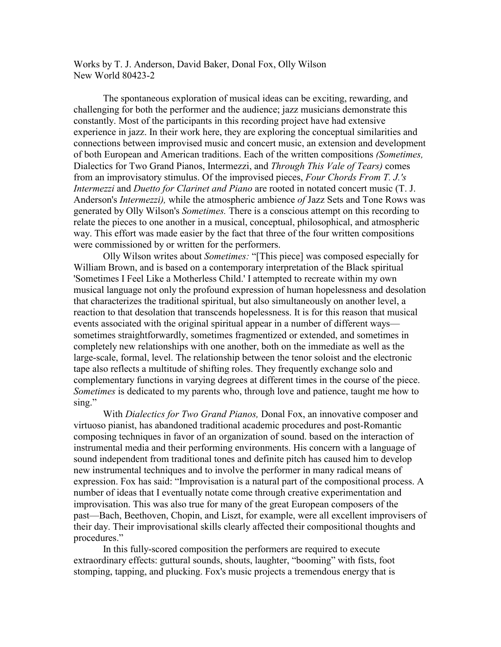Works by T. J. Anderson, David Baker, Donal Fox, Olly Wilson New World 80423-2

The spontaneous exploration of musical ideas can be exciting, rewarding, and challenging for both the performer and the audience; jazz musicians demonstrate this constantly. Most of the participants in this recording project have had extensive experience in jazz. In their work here, they are exploring the conceptual similarities and connections between improvised music and concert music, an extension and development of both European and American traditions. Each of the written compositions *(Sometimes,* Dialectics for Two Grand Pianos, Intermezzi, and *Through This Vale of Tears)* comes from an improvisatory stimulus. Of the improvised pieces, *Four Chords From T. J.'s Intermezzi* and *Duetto for Clarinet and Piano* are rooted in notated concert music (T. J. Anderson's *Intermezzi),* while the atmospheric ambience *of* Jazz Sets and Tone Rows was generated by Olly Wilson's *Sometimes.* There is a conscious attempt on this recording to relate the pieces to one another in a musical, conceptual, philosophical, and atmospheric way. This effort was made easier by the fact that three of the four written compositions were commissioned by or written for the performers.

Olly Wilson writes about *Sometimes:* "[This piece] was composed especially for William Brown, and is based on a contemporary interpretation of the Black spiritual 'Sometimes I Feel Like a Motherless Child.' I attempted to recreate within my own musical language not only the profound expression of human hopelessness and desolation that characterizes the traditional spiritual, but also simultaneously on another level, a reaction to that desolation that transcends hopelessness. It is for this reason that musical events associated with the original spiritual appear in a number of different ways sometimes straightforwardly, sometimes fragmentized or extended, and sometimes in completely new relationships with one another, both on the immediate as well as the large-scale, formal, level. The relationship between the tenor soloist and the electronic tape also reflects a multitude of shifting roles. They frequently exchange solo and complementary functions in varying degrees at different times in the course of the piece. *Sometimes* is dedicated to my parents who, through love and patience, taught me how to sing."

With *Dialectics for Two Grand Pianos,* Donal Fox, an innovative composer and virtuoso pianist, has abandoned traditional academic procedures and post-Romantic composing techniques in favor of an organization of sound. based on the interaction of instrumental media and their performing environments. His concern with a language of sound independent from traditional tones and definite pitch has caused him to develop new instrumental techniques and to involve the performer in many radical means of expression. Fox has said: "Improvisation is a natural part of the compositional process. A number of ideas that I eventually notate come through creative experimentation and improvisation. This was also true for many of the great European composers of the past—Bach, Beethoven, Chopin, and Liszt, for example, were all excellent improvisers of their day. Their improvisational skills clearly affected their compositional thoughts and procedures."

In this fully-scored composition the performers are required to execute extraordinary effects: guttural sounds, shouts, laughter, "booming" with fists, foot stomping, tapping, and plucking. Fox's music projects a tremendous energy that is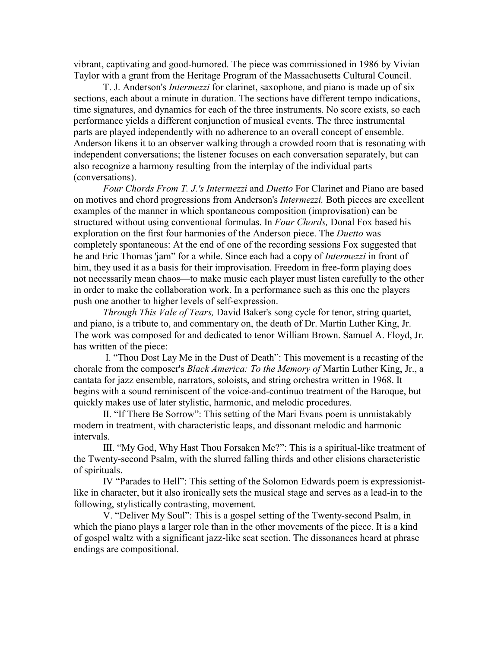vibrant, captivating and good-humored. The piece was commissioned in 1986 by Vivian Taylor with a grant from the Heritage Program of the Massachusetts Cultural Council.

T. J. Anderson's *Intermezzi* for clarinet, saxophone, and piano is made up of six sections, each about a minute in duration. The sections have different tempo indications, time signatures, and dynamics for each of the three instruments. No score exists, so each performance yields a different conjunction of musical events. The three instrumental parts are played independently with no adherence to an overall concept of ensemble. Anderson likens it to an observer walking through a crowded room that is resonating with independent conversations; the listener focuses on each conversation separately, but can also recognize a harmony resulting from the interplay of the individual parts (conversations).

*Four Chords From T. J.'s Intermezzi* and *Duetto* For Clarinet and Piano are based on motives and chord progressions from Anderson's *Intermezzi.* Both pieces are excellent examples of the manner in which spontaneous composition (improvisation) can be structured without using conventional formulas. In *Four Chords,* Donal Fox based his exploration on the first four harmonies of the Anderson piece. The *Duetto* was completely spontaneous: At the end of one of the recording sessions Fox suggested that he and Eric Thomas 'jam" for a while. Since each had a copy of *Intermezzi* in front of him, they used it as a basis for their improvisation. Freedom in free-form playing does not necessarily mean chaos—to make music each player must listen carefully to the other in order to make the collaboration work. In a performance such as this one the players push one another to higher levels of self-expression.

*Through This Vale of Tears,* David Baker's song cycle for tenor, string quartet, and piano, is a tribute to, and commentary on, the death of Dr. Martin Luther King, Jr. The work was composed for and dedicated to tenor William Brown. Samuel A. Floyd, Jr. has written of the piece:

 I. "Thou Dost Lay Me in the Dust of Death": This movement is a recasting of the chorale from the composer's *Black America: To the Memory of* Martin Luther King, Jr., a cantata for jazz ensemble, narrators, soloists, and string orchestra written in 1968. It begins with a sound reminiscent of the voice-and-continuo treatment of the Baroque, but quickly makes use of later stylistic, harmonic, and melodic procedures.

II. "If There Be Sorrow": This setting of the Mari Evans poem is unmistakably modern in treatment, with characteristic leaps, and dissonant melodic and harmonic intervals.

III. "My God, Why Hast Thou Forsaken Me?": This is a spiritual-like treatment of the Twenty-second Psalm, with the slurred falling thirds and other elisions characteristic of spirituals.

IV "Parades to Hell": This setting of the Solomon Edwards poem is expressionistlike in character, but it also ironically sets the musical stage and serves as a lead-in to the following, stylistically contrasting, movement.

V. "Deliver My Soul": This is a gospel setting of the Twenty-second Psalm, in which the piano plays a larger role than in the other movements of the piece. It is a kind of gospel waltz with a significant jazz-like scat section. The dissonances heard at phrase endings are compositional.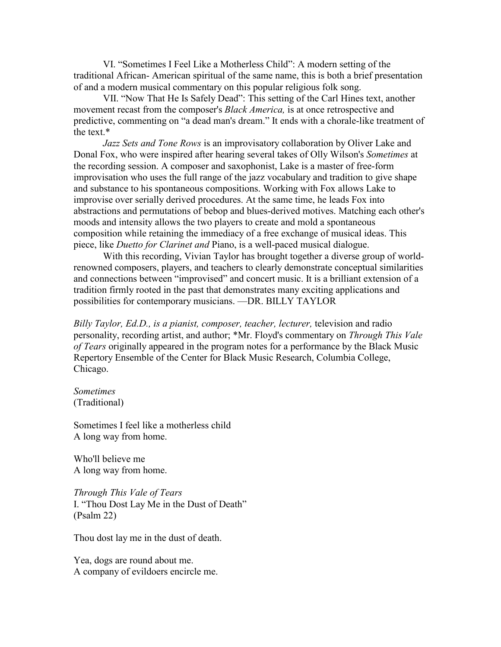VI. "Sometimes I Feel Like a Motherless Child": A modern setting of the traditional African- American spiritual of the same name, this is both a brief presentation of and a modern musical commentary on this popular religious folk song.

VII. "Now That He Is Safely Dead": This setting of the Carl Hines text, another movement recast from the composer's *Black America,* is at once retrospective and predictive, commenting on "a dead man's dream." It ends with a chorale-like treatment of the text.\*

*Jazz Sets and Tone Rows* is an improvisatory collaboration by Oliver Lake and Donal Fox, who were inspired after hearing several takes of Olly Wilson's *Sometimes* at the recording session. A composer and saxophonist, Lake is a master of free-form improvisation who uses the full range of the jazz vocabulary and tradition to give shape and substance to his spontaneous compositions. Working with Fox allows Lake to improvise over serially derived procedures. At the same time, he leads Fox into abstractions and permutations of bebop and blues-derived motives. Matching each other's moods and intensity allows the two players to create and mold a spontaneous composition while retaining the immediacy of a free exchange of musical ideas. This piece, like *Duetto for Clarinet and* Piano, is a well-paced musical dialogue.

With this recording, Vivian Taylor has brought together a diverse group of worldrenowned composers, players, and teachers to clearly demonstrate conceptual similarities and connections between "improvised" and concert music. It is a brilliant extension of a tradition firmly rooted in the past that demonstrates many exciting applications and possibilities for contemporary musicians. —DR. BILLY TAYLOR

*Billy Taylor, Ed.D., is a pianist, composer, teacher, lecturer,* television and radio personality, recording artist, and author; \*Mr. Floyd's commentary on *Through This Vale of Tears* originally appeared in the program notes for a performance by the Black Music Repertory Ensemble of the Center for Black Music Research, Columbia College, Chicago.

*Sometimes* (Traditional)

Sometimes I feel like a motherless child A long way from home.

Who'll believe me A long way from home.

*Through This Vale of Tears* I. "Thou Dost Lay Me in the Dust of Death" (Psalm 22)

Thou dost lay me in the dust of death.

Yea, dogs are round about me. A company of evildoers encircle me.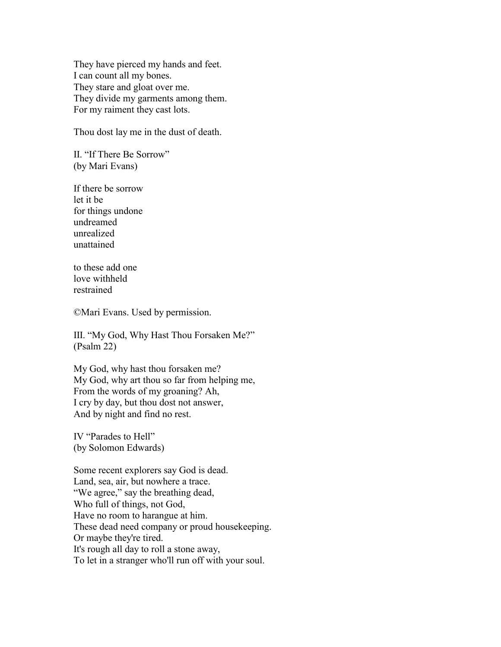They have pierced my hands and feet. I can count all my bones. They stare and gloat over me. They divide my garments among them. For my raiment they cast lots.

Thou dost lay me in the dust of death.

II. "If There Be Sorrow" (by Mari Evans)

If there be sorrow let it be for things undone undreamed unrealized unattained

to these add one love withheld restrained

©Mari Evans. Used by permission.

III. "My God, Why Hast Thou Forsaken Me?" (Psalm 22)

My God, why hast thou forsaken me? My God, why art thou so far from helping me, From the words of my groaning? Ah, I cry by day, but thou dost not answer, And by night and find no rest.

IV "Parades to Hell" (by Solomon Edwards)

Some recent explorers say God is dead. Land, sea, air, but nowhere a trace. "We agree," say the breathing dead, Who full of things, not God, Have no room to harangue at him. These dead need company or proud housekeeping. Or maybe they're tired. It's rough all day to roll a stone away, To let in a stranger who'll run off with your soul.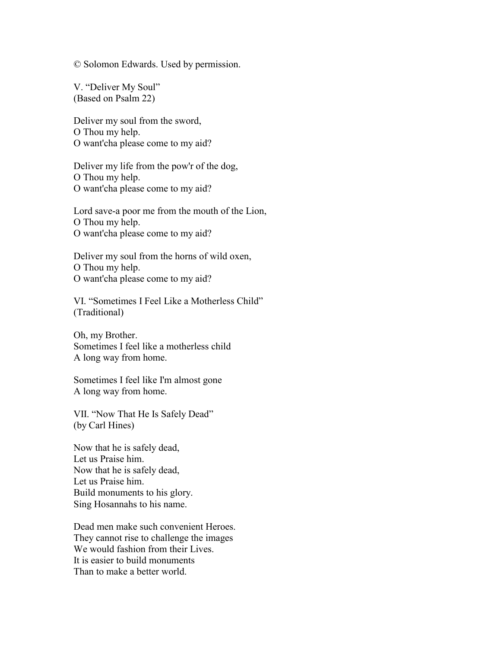© Solomon Edwards. Used by permission.

V. "Deliver My Soul" (Based on Psalm 22)

Deliver my soul from the sword, O Thou my help. O want'cha please come to my aid?

Deliver my life from the pow'r of the dog, O Thou my help. O want'cha please come to my aid?

Lord save-a poor me from the mouth of the Lion, O Thou my help. O want'cha please come to my aid?

Deliver my soul from the horns of wild oxen, O Thou my help. O want'cha please come to my aid?

VI. "Sometimes I Feel Like a Motherless Child" (Traditional)

Oh, my Brother. Sometimes I feel like a motherless child A long way from home.

Sometimes I feel like I'm almost gone A long way from home.

VII. "Now That He Is Safely Dead" (by Carl Hines)

Now that he is safely dead, Let us Praise him. Now that he is safely dead, Let us Praise him. Build monuments to his glory. Sing Hosannahs to his name.

Dead men make such convenient Heroes. They cannot rise to challenge the images We would fashion from their Lives. It is easier to build monuments Than to make a better world.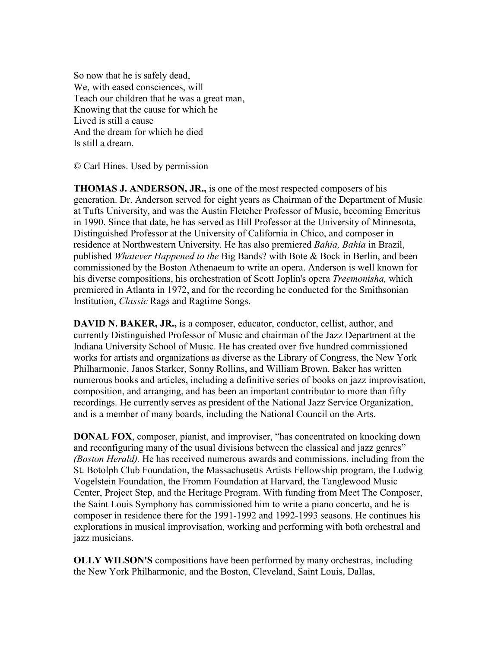So now that he is safely dead, We, with eased consciences, will Teach our children that he was a great man, Knowing that the cause for which he Lived is still a cause And the dream for which he died Is still a dream.

© Carl Hines. Used by permission

**THOMAS J. ANDERSON, JR.,** is one of the most respected composers of his generation. Dr. Anderson served for eight years as Chairman of the Department of Music at Tufts University, and was the Austin Fletcher Professor of Music, becoming Emeritus in 1990. Since that date, he has served as Hill Professor at the University of Minnesota, Distinguished Professor at the University of California in Chico, and composer in residence at Northwestern University. He has also premiered *Bahia, Bahia* in Brazil, published *Whatever Happened to the* Big Bands? with Bote & Bock in Berlin, and been commissioned by the Boston Athenaeum to write an opera. Anderson is well known for his diverse compositions, his orchestration of Scott Joplin's opera *Treemonisha,* which premiered in Atlanta in 1972, and for the recording he conducted for the Smithsonian Institution, *Classic* Rags and Ragtime Songs.

**DAVID N. BAKER, JR.,** is a composer, educator, conductor, cellist, author, and currently Distinguished Professor of Music and chairman of the Jazz Department at the Indiana University School of Music. He has created over five hundred commissioned works for artists and organizations as diverse as the Library of Congress, the New York Philharmonic, Janos Starker, Sonny Rollins, and William Brown. Baker has written numerous books and articles, including a definitive series of books on jazz improvisation, composition, and arranging, and has been an important contributor to more than fifty recordings. He currently serves as president of the National Jazz Service Organization, and is a member of many boards, including the National Council on the Arts.

**DONAL FOX**, composer, pianist, and improviser, "has concentrated on knocking down and reconfiguring many of the usual divisions between the classical and jazz genres" *(Boston Herald).* He has received numerous awards and commissions, including from the St. Botolph Club Foundation, the Massachusetts Artists Fellowship program, the Ludwig Vogelstein Foundation, the Fromm Foundation at Harvard, the Tanglewood Music Center, Project Step, and the Heritage Program. With funding from Meet The Composer, the Saint Louis Symphony has commissioned him to write a piano concerto, and he is composer in residence there for the 1991-1992 and 1992-1993 seasons. He continues his explorations in musical improvisation, working and performing with both orchestral and jazz musicians.

**OLLY WILSON'S** compositions have been performed by many orchestras, including the New York Philharmonic, and the Boston, Cleveland, Saint Louis, Dallas,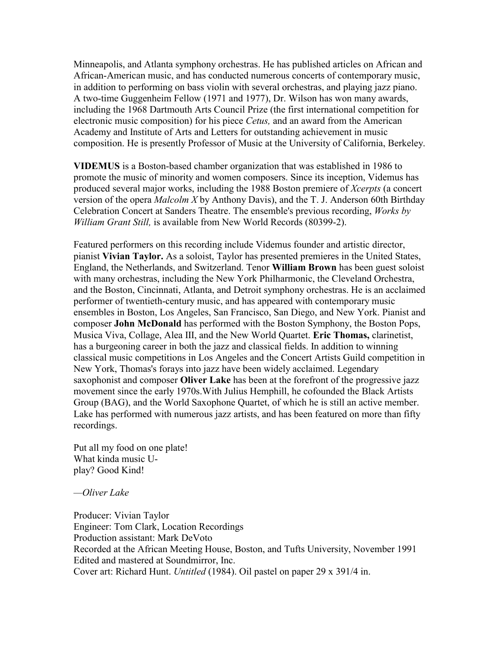Minneapolis, and Atlanta symphony orchestras. He has published articles on African and African-American music, and has conducted numerous concerts of contemporary music, in addition to performing on bass violin with several orchestras, and playing jazz piano. A two-time Guggenheim Fellow (1971 and 1977), Dr. Wilson has won many awards, including the 1968 Dartmouth Arts Council Prize (the first international competition for electronic music composition) for his piece *Cetus,* and an award from the American Academy and Institute of Arts and Letters for outstanding achievement in music composition. He is presently Professor of Music at the University of California, Berkeley.

**VIDEMUS** is a Boston-based chamber organization that was established in 1986 to promote the music of minority and women composers. Since its inception, Videmus has produced several major works, including the 1988 Boston premiere of *Xcerpts* (a concert version of the opera *Malcolm X* by Anthony Davis), and the T. J. Anderson 60th Birthday Celebration Concert at Sanders Theatre. The ensemble's previous recording, *Works by William Grant Still,* is available from New World Records (80399-2).

Featured performers on this recording include Videmus founder and artistic director, pianist **Vivian Taylor.** As a soloist, Taylor has presented premieres in the United States, England, the Netherlands, and Switzerland. Tenor **William Brown** has been guest soloist with many orchestras, including the New York Philharmonic, the Cleveland Orchestra, and the Boston, Cincinnati, Atlanta, and Detroit symphony orchestras. He is an acclaimed performer of twentieth-century music, and has appeared with contemporary music ensembles in Boston, Los Angeles, San Francisco, San Diego, and New York. Pianist and composer **John McDonald** has performed with the Boston Symphony, the Boston Pops, Musica Viva, Collage, Alea III, and the New World Quartet. **Eric Thomas,** clarinetist, has a burgeoning career in both the jazz and classical fields. In addition to winning classical music competitions in Los Angeles and the Concert Artists Guild competition in New York, Thomas's forays into jazz have been widely acclaimed. Legendary saxophonist and composer **Oliver Lake** has been at the forefront of the progressive jazz movement since the early 1970s.With Julius Hemphill, he cofounded the Black Artists Group (BAG), and the World Saxophone Quartet, of which he is still an active member. Lake has performed with numerous jazz artists, and has been featured on more than fifty recordings.

Put all my food on one plate! What kinda music Uplay? Good Kind!

#### *—Oliver Lake*

Producer: Vivian Taylor Engineer: Tom Clark, Location Recordings Production assistant: Mark DeVoto Recorded at the African Meeting House, Boston, and Tufts University, November 1991 Edited and mastered at Soundmirror, Inc. Cover art: Richard Hunt. *Untitled* (1984). Oil pastel on paper 29 x 391/4 in.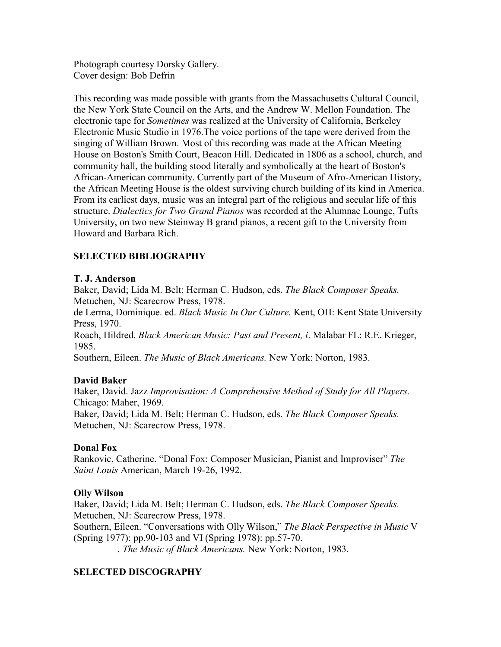Photograph courtesy Dorsky Gallery. Cover design: Bob Defrin

This recording was made possible with grants from the Massachusetts Cultural Council, the New York State Council on the Arts, and the Andrew W. Mellon Foundation. The electronic tape for *Sometimes* was realized at the University of California, Berkeley Electronic Music Studio in 1976.The voice portions of the tape were derived from the singing of William Brown. Most of this recording was made at the African Meeting House on Boston's Smith Court, Beacon Hill. Dedicated in 1806 as a school, church, and community hall, the building stood literally and symbolically at the heart of Boston's African-American community. Currently part of the Museum of Afro-American History, the African Meeting House is the oldest surviving church building of its kind in America. From its earliest days, music was an integral part of the religious and secular life of this structure. *Dialectics for Two Grand Pianos* was recorded at the Alumnae Lounge, Tufts University, on two new Steinway B grand pianos, a recent gift to the University from Howard and Barbara Rich.

# **SELECTED BIBLIOGRAPHY**

## **T. J. Anderson**

Baker, David; Lida M. Belt; Herman C. Hudson, eds. *The Black Composer Speaks.*  Metuchen, NJ: Scarecrow Press, 1978.

de Lerma, Dominique. ed. *Black Music In Our Culture.* Kent, OH: Kent State University Press, 1970.

Roach, Hildred. *Black American Music: Past and Present, i*. Malabar FL: R.E. Krieger, 1985.

Southern, Eileen. *The Music of Black Americans.* New York: Norton, 1983.

# **David Baker**

Baker, David. Jazz *Improvisation: A Comprehensive Method of Study for All Players.*  Chicago: Maher, 1969. Baker, David; Lida M. Belt; Herman C. Hudson, eds. *The Black Composer Speaks.*  Metuchen, NJ: Scarecrow Press, 1978.

### **Donal Fox**

Rankovic, Catherine. "Donal Fox: Composer Musician, Pianist and Improviser" *The Saint Louis* American, March 19-26, 1992.

### **Olly Wilson**

Baker, David; Lida M. Belt; Herman C. Hudson, eds. *The Black Composer Speaks.*  Metuchen, NJ: Scarecrow Press, 1978.

Southern, Eileen. "Conversations with Olly Wilson," *The Black Perspective in Music* V (Spring 1977): pp.90-103 and VI (Spring 1978): pp.57-70.

*\_\_\_\_\_\_\_\_\_. The Music of Black Americans.* New York: Norton, 1983.

# **SELECTED DISCOGRAPHY**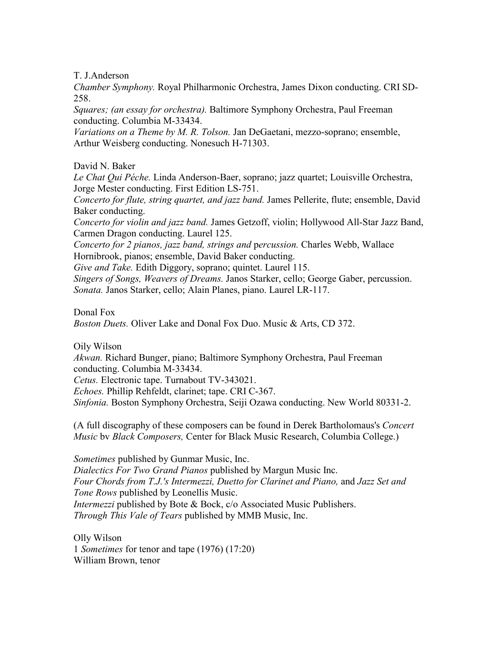T. J.Anderson

*Chamber Symphony.* Royal Philharmonic Orchestra, James Dixon conducting. CRI SD-258.

*Squares; (an essay for orchestra).* Baltimore Symphony Orchestra, Paul Freeman conducting. Columbia M-33434.

*Variations on a Theme by M. R. Tolson.* Jan DeGaetani, mezzo-soprano; ensemble, Arthur Weisberg conducting. Nonesuch H-71303.

David N. Baker

*Le Chat Qui Péche.* Linda Anderson-Baer, soprano; jazz quartet; Louisville Orchestra, Jorge Mester conducting. First Edition LS-751.

*Concerto for flute, string quartet, and jazz band.* James Pellerite, flute; ensemble, David Baker conducting.

*Concerto for violin and jazz band.* James Getzoff, violin; Hollywood All-Star Jazz Band, Carmen Dragon conducting. Laurel 125.

*Concerto for 2 pianos, jazz band, strings and* p*ercussion.* Charles Webb, Wallace Hornibrook, pianos; ensemble, David Baker conducting.

*Give and Take.* Edith Diggory, soprano; quintet. Laurel 115.

*Singers of Songs, Weavers of Dreams.* Janos Starker, cello; George Gaber, percussion. *Sonata.* Janos Starker, cello; Alain Planes, piano. Laurel LR-117.

Donal Fox

*Boston Duets.* Oliver Lake and Donal Fox Duo. Music & Arts, CD 372.

Oily Wilson

*Akwan.* Richard Bunger, piano; Baltimore Symphony Orchestra, Paul Freeman conducting. Columbia M*-*33434.

*Cetus.* Electronic tape. Turnabout TV-343021.

*Echoes.* Phillip Rehfeldt, clarinet; tape. CRI C-367.

*Sinfonia.* Boston Symphony Orchestra, Seiji Ozawa conducting. New World 80331-2.

(A full discography of these composers can be found in Derek Bartholomaus's *Concert Music* bv *Black Composers,* Center for Black Music Research, Columbia College.)

*Sometimes* published by Gunmar Music, Inc. *Dialectics For Two Grand Pianos* published by Margun Music Inc. *Four Chords from T.J.'s Intermezzi, Duetto for Clarinet and Piano,* and *Jazz Set and Tone Rows* published by Leonellis Music. *Intermezzi* published by Bote & Bock, c/o Associated Music Publishers. *Through This Vale of Tears* published by MMB Music, Inc.

Olly Wilson 1 *Sometimes* for tenor and tape (1976) (17:20) William Brown, tenor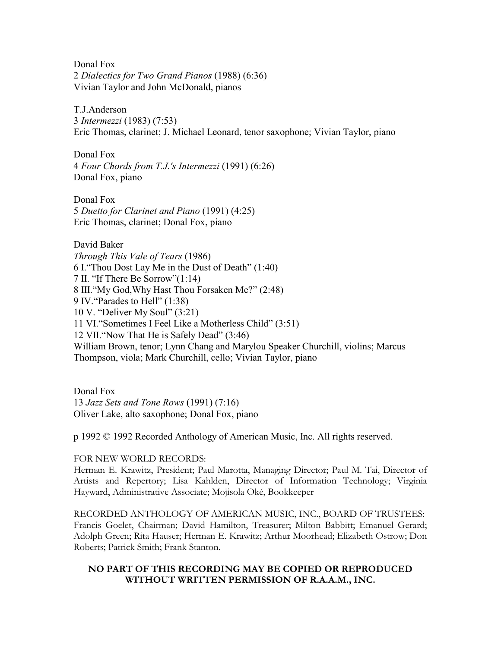Donal Fox 2 *Dialectics for Two Grand Pianos* (1988) (6:36) Vivian Taylor and John McDonald, pianos

T.J.Anderson 3 *Intermezzi* (1983) (7:53) Eric Thomas, clarinet; J. Michael Leonard, tenor saxophone; Vivian Taylor, piano

Donal Fox 4 *Four Chords from T.J.'s Intermezzi* (1991) (6:26) Donal Fox, piano

Donal Fox 5 *Duetto for Clarinet and Piano* (1991) (4:25) Eric Thomas, clarinet; Donal Fox, piano

David Baker *Through This Vale of Tears* (1986) 6 I."Thou Dost Lay Me in the Dust of Death" (1:40) 7 II. "If There Be Sorrow"(1:14) 8 III."My God,Why Hast Thou Forsaken Me?" (2:48) 9 IV."Parades to Hell" (1:38) 10 V. "Deliver My Soul" (3:21) 11 VI."Sometimes I Feel Like a Motherless Child" (3:51) 12 VII."Now That He is Safely Dead" (3:46) William Brown, tenor; Lynn Chang and Marylou Speaker Churchill, violins; Marcus Thompson, viola; Mark Churchill, cello; Vivian Taylor, piano

Donal Fox 13 *Jazz Sets and Tone Rows* (1991) (7:16) Oliver Lake, alto saxophone; Donal Fox, piano

p 1992 © 1992 Recorded Anthology of American Music, Inc. All rights reserved.

#### FOR NEW WORLD RECORDS:

Herman E. Krawitz, President; Paul Marotta, Managing Director; Paul M. Tai, Director of Artists and Repertory; Lisa Kahlden, Director of Information Technology; Virginia Hayward, Administrative Associate; Mojisola Oké, Bookkeeper

RECORDED ANTHOLOGY OF AMERICAN MUSIC, INC., BOARD OF TRUSTEES: Francis Goelet, Chairman; David Hamilton, Treasurer; Milton Babbitt; Emanuel Gerard; Adolph Green; Rita Hauser; Herman E. Krawitz; Arthur Moorhead; Elizabeth Ostrow; Don Roberts; Patrick Smith; Frank Stanton.

#### **NO PART OF THIS RECORDING MAY BE COPIED OR REPRODUCED WITHOUT WRITTEN PERMISSION OF R.A.A.M., INC.**